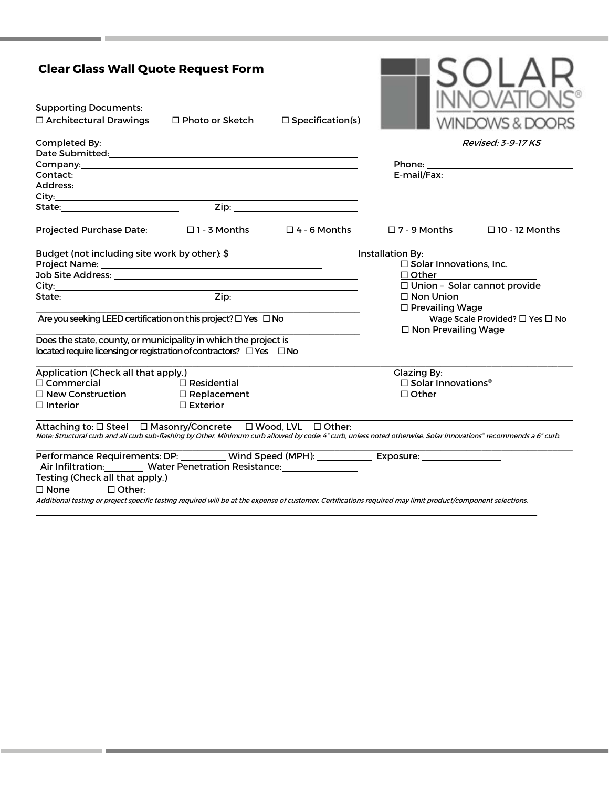| <b>Clear Glass Wall Quote Request Form</b>                                                                                                                                                                                       |                        |                                                    |                                       |                                            |
|----------------------------------------------------------------------------------------------------------------------------------------------------------------------------------------------------------------------------------|------------------------|----------------------------------------------------|---------------------------------------|--------------------------------------------|
| <b>Supporting Documents:</b>                                                                                                                                                                                                     |                        |                                                    |                                       |                                            |
| $\Box$ Architectural Drawings                                                                                                                                                                                                    | $\Box$ Photo or Sketch | $\Box$ Specification(s)                            |                                       |                                            |
|                                                                                                                                                                                                                                  |                        |                                                    |                                       | <b>Revised: 3-9-17 KS</b>                  |
|                                                                                                                                                                                                                                  |                        |                                                    |                                       |                                            |
|                                                                                                                                                                                                                                  |                        |                                                    |                                       | Phone: ___________________________________ |
| Contact: experience and a series of the series of the series of the series of the series of the series of the                                                                                                                    |                        |                                                    |                                       |                                            |
|                                                                                                                                                                                                                                  |                        |                                                    |                                       |                                            |
|                                                                                                                                                                                                                                  |                        |                                                    |                                       |                                            |
| State: Zip: Zip: 2014                                                                                                                                                                                                            |                        |                                                    |                                       |                                            |
| Projected Purchase Date: □1 - 3 Months □4 - 6 Months                                                                                                                                                                             |                        |                                                    | $\square$ 7 - 9 Months                | $\Box$ 10 - 12 Months                      |
| Budget (not including site work by other): $\frac{2}{3}$ ___________________________                                                                                                                                             |                        | Installation By:<br>$\Box$ Solar Innovations, Inc. |                                       |                                            |
| Job Site Address: North American State Address: North American State Address: North American State Address: No                                                                                                                   |                        |                                                    | $\Box$ Other $\qquad \qquad \qquad$   |                                            |
|                                                                                                                                                                                                                                  |                        |                                                    |                                       | □ Union - Solar cannot provide             |
| State: <u>Zip: Zip:</u>                                                                                                                                                                                                          |                        |                                                    | $\square$ Non Union                   | <u> 1990 - Johann Barbara, martin a</u>    |
|                                                                                                                                                                                                                                  |                        |                                                    | $\Box$ Prevailing Wage                |                                            |
| Are you seeking LEED certification on this project? $\square$ Yes $\square$ No                                                                                                                                                   |                        | $\Box$ Non Prevailing Wage                         | Wage Scale Provided? □ Yes □ No       |                                            |
| Does the state, county, or municipality in which the project is<br>located require licensing or registration of contractors? □ Yes □ No                                                                                          |                        |                                                    |                                       |                                            |
| Application (Check all that apply.)                                                                                                                                                                                              |                        |                                                    | <b>Glazing By:</b>                    |                                            |
| $\Box$ Commercial                                                                                                                                                                                                                | $\Box$ Residential     |                                                    | $\Box$ Solar Innovations <sup>®</sup> |                                            |
| $\square$ New Construction                                                                                                                                                                                                       | □ Replacement          |                                                    | $\Box$ Other                          |                                            |
| $\Box$ Interior                                                                                                                                                                                                                  | $\Box$ Exterior        |                                                    |                                       |                                            |
| Attaching to: □ Steel □ Masonry/Concrete □ Wood, LVL □ Other:<br>Note Structural curb and all curb sub-flashing by Other. Minimum curb allowed by code 4" curb, unless noted otherwise. Solar Innovations® recommends a 6" curb. |                        |                                                    |                                       |                                            |
| Performance Requirements: DP: _________ Wind Speed (MPH): ____________ Exposure: __________________<br>Air Infiltration: Water Penetration Resistance: Material Air Infiltration:                                                |                        |                                                    |                                       |                                            |
| Testing (Check all that apply.)                                                                                                                                                                                                  |                        |                                                    |                                       |                                            |
| $\square$ None                                                                                                                                                                                                                   | $\Box$ Other: $\Box$   |                                                    |                                       |                                            |
| Additional testing or project specific testing required will be at the expense of customer. Certifications required may limit product/component selections.                                                                      |                        |                                                    |                                       |                                            |

 $\_$  , and the set of the set of the set of the set of the set of the set of the set of the set of the set of the set of the set of the set of the set of the set of the set of the set of the set of the set of the set of th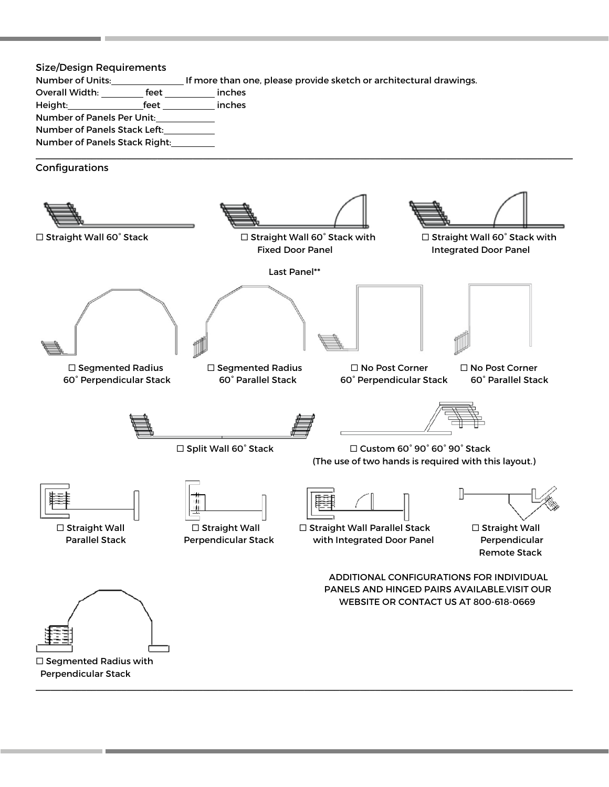| Size/Design Requirements      |      |                                                                    |  |
|-------------------------------|------|--------------------------------------------------------------------|--|
| Number of Units:              |      | If more than one, please provide sketch or architectural drawings. |  |
| Overall Width:                | feet | inches                                                             |  |
| Height:                       | feet | inches                                                             |  |
| Number of Panels Per Unit:    |      |                                                                    |  |
| Number of Panels Stack Left:  |      |                                                                    |  |
| Number of Panels Stack Right: |      |                                                                    |  |

 $\_$  , and the set of the set of the set of the set of the set of the set of the set of the set of the set of the set of the set of the set of the set of the set of the set of the set of the set of the set of the set of th

Configurations

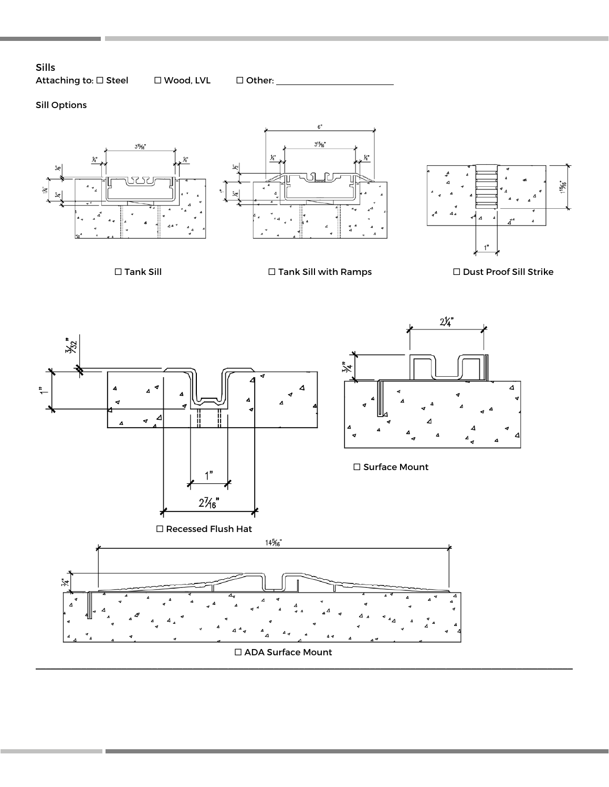## Sills Attaching to:  $\Box$  Steel  $\Box$  Wood, LVL  $\Box$  Other: \_\_\_\_\_\_\_\_\_\_\_\_\_\_\_\_\_\_\_\_\_\_\_\_\_\_\_\_\_

# Sill Options







 $\square$  Tank Sill  $\square$  Tank Sill with Ramps  $\square$  Dust Proof Sill Strike



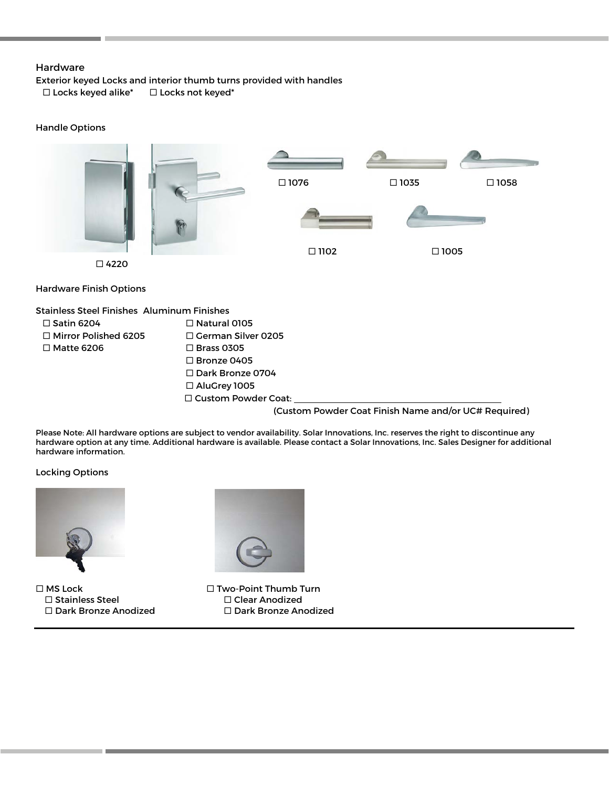### Hardware

Exterior keyed Locks and interior thumb turns provided with handles  $\square$  Locks keyed alike\*  $\square$  Locks not keyed\*

#### Handle Options



(Custom Powder Coat Finish Name and/or UC# Required)

Please Note: All hardware options are subject to vendor availability. Solar Innovations, Inc. reserves the right to discontinue any hardware option at any time. Additional hardware is available. Please contact a Solar Innovations, Inc. Sales Designer for additional hardware information.

Locking Options



 $\square$  MS Lock  $\square$  Two-Point Thumb Turn □ Stainless Steel Clear Anodized



Dark Bronze Anodized Dark Bronze Anodized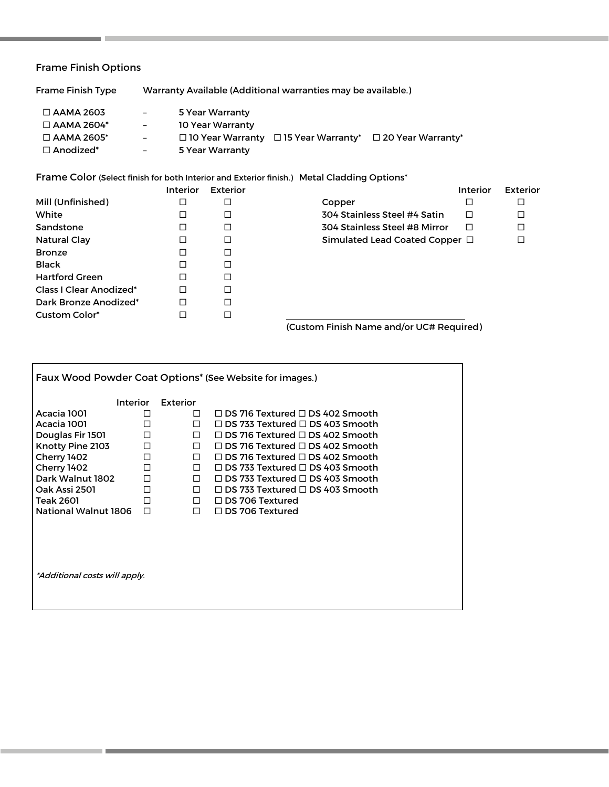# Frame Finish Options

| $\Box$ AAMA 2603  | $ -$ | 5 Year Warranty                                                           |
|-------------------|------|---------------------------------------------------------------------------|
| $\Box$ AAMA 2604* | $ -$ | 10 Year Warranty                                                          |
| $\Box$ AAMA 2605* | $ -$ | $\Box$ 10 Year Warranty $\Box$ 15 Year Warranty* $\Box$ 20 Year Warranty* |
| $\Box$ Anodized*  | $-$  | 5 Year Warranty                                                           |
|                   |      |                                                                           |

Frame Color (Select finish for both Interior and Exterior finish.) Metal Cladding Options\*

Frame Finish Type Warranty Available (Additional warranties may be available.)

| <b>Interior</b>          | <b>Exterior</b> |                               |   | <b>Exterior</b>                                   |
|--------------------------|-----------------|-------------------------------|---|---------------------------------------------------|
| □                        | □               | Copper                        | □ |                                                   |
| □                        | □               | 304 Stainless Steel #4 Satin  | □ | ◻                                                 |
| □                        | □               | 304 Stainless Steel #8 Mirror | п | □                                                 |
| □                        | □               |                               |   | П                                                 |
| □                        | □               |                               |   |                                                   |
| □                        | □               |                               |   |                                                   |
| п                        | □               |                               |   |                                                   |
| □                        | □               |                               |   |                                                   |
| □                        | □               |                               |   |                                                   |
| $\overline{\phantom{a}}$ | $\Box$          |                               |   |                                                   |
|                          |                 |                               |   | <b>Interior</b><br>Simulated Lead Coated Copper □ |

(Custom Finish Name and/or UC# Required)

| Faux Wood Powder Coat Options* (See Website for images.) |        |          |                                             |  |
|----------------------------------------------------------|--------|----------|---------------------------------------------|--|
| <b>Interior</b>                                          |        | Exterior |                                             |  |
| Acacia 1001                                              | П      | П.       | $\Box$ DS 716 Textured $\Box$ DS 402 Smooth |  |
| Acacia 1001                                              | П      | П.       | $\Box$ DS 733 Textured $\Box$ DS 403 Smooth |  |
| Douglas Fir 1501                                         | □      | $\Box$   | $\Box$ DS 716 Textured $\Box$ DS 402 Smooth |  |
| Knotty Pine 2103                                         | $\Box$ | $\Box$   | $\Box$ DS 716 Textured $\Box$ DS 402 Smooth |  |
| Cherry 1402                                              | $\Box$ | $\Box$   | $\Box$ DS 716 Textured $\Box$ DS 402 Smooth |  |
| Cherry 1402                                              | □      | $\Box$   | $\Box$ DS 733 Textured $\Box$ DS 403 Smooth |  |
| Dark Walnut 1802                                         | $\Box$ | П.       | $\Box$ DS 733 Textured $\Box$ DS 403 Smooth |  |
| Oak Assi 2501                                            | $\Box$ | $\Box$   | $\Box$ DS 733 Textured $\Box$ DS 403 Smooth |  |
| <b>Teak 2601</b>                                         | п      | $\Box$   | $\Box$ DS 706 Textured                      |  |
| <b>National Walnut 1806</b>                              | П      | $\Box$   | $\Box$ DS 706 Textured                      |  |
|                                                          |        |          |                                             |  |
|                                                          |        |          |                                             |  |
|                                                          |        |          |                                             |  |
|                                                          |        |          |                                             |  |
| *Additional costs will apply.                            |        |          |                                             |  |
|                                                          |        |          |                                             |  |
|                                                          |        |          |                                             |  |
|                                                          |        |          |                                             |  |